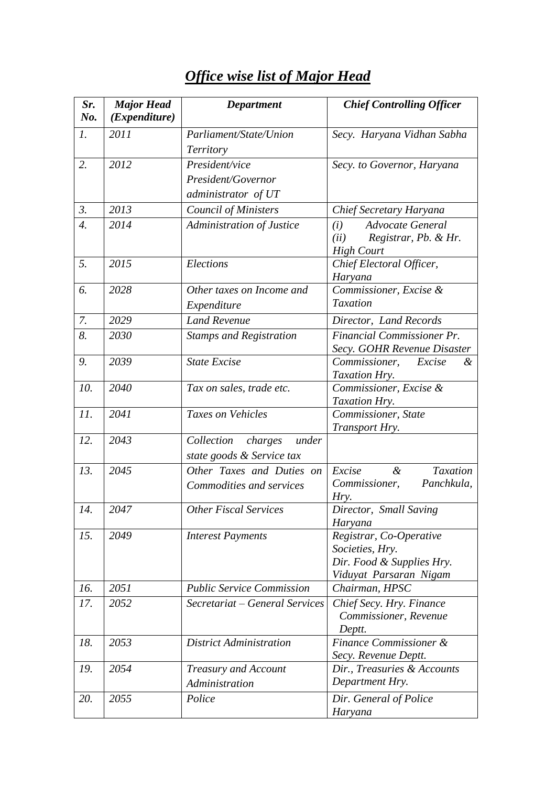| Sr.<br>No.       | <b>Major Head</b><br>(Expenditure) | <b>Department</b>                                           | <b>Chief Controlling Officer</b>                                                                  |
|------------------|------------------------------------|-------------------------------------------------------------|---------------------------------------------------------------------------------------------------|
| $\mathfrak{1}.$  | 2011                               | Parliament/State/Union<br>Territory                         | Secy. Haryana Vidhan Sabha                                                                        |
| 2.               | 2012                               | President/vice<br>President/Governor<br>administrator of UT | Secy. to Governor, Haryana                                                                        |
| $\mathfrak{Z}$ . | 2013                               | <b>Council of Ministers</b>                                 | Chief Secretary Haryana                                                                           |
| $\overline{4}$ . | 2014                               | Administration of Justice                                   | Advocate General<br>(i)<br>Registrar, Pb. & Hr.<br>(ii)<br><b>High Court</b>                      |
| 5.               | 2015                               | Elections                                                   | Chief Electoral Officer,<br>Haryana                                                               |
| 6.               | 2028                               | Other taxes on Income and<br>Expenditure                    | Commissioner, Excise &<br><b>Taxation</b>                                                         |
| 7.               | 2029                               | <b>Land Revenue</b>                                         | Director, Land Records                                                                            |
| 8.               | 2030                               | <b>Stamps and Registration</b>                              | <b>Financial Commissioner Pr.</b><br>Secy. GOHR Revenue Disaster                                  |
| 9.               | 2039                               | <b>State Excise</b>                                         | <i>Commissioner,</i><br>Excise<br>&<br>Taxation Hry.                                              |
| 10.              | 2040                               | Tax on sales, trade etc.                                    | Commissioner, Excise &<br>Taxation Hry.                                                           |
| 11.              | 2041                               | Taxes on Vehicles                                           | Commissioner, State<br>Transport Hry.                                                             |
| 12.              | 2043                               | Collection<br>charges<br>under<br>state goods & Service tax |                                                                                                   |
| 13.              | 2045                               | Other Taxes and Duties on<br>Commodities and services       | $\alpha$<br><b>Taxation</b><br>Excise<br>Panchkula,<br>Commissioner,<br>Hry.                      |
| 14.              | 2047                               | <b>Other Fiscal Services</b>                                | Director, Small Saving<br>Haryana                                                                 |
| 15.              | 2049                               | <b>Interest Payments</b>                                    | Registrar, Co-Operative<br>Societies, Hry.<br>Dir. Food & Supplies Hry.<br>Viduyat Parsaran Nigam |
| 16.              | 2051                               | <b>Public Service Commission</b>                            | Chairman, HPSC                                                                                    |
| 17.              | 2052                               | Secretariat - General Services                              | Chief Secy. Hry. Finance<br>Commissioner, Revenue<br>Deptt.                                       |
| 18.              | 2053                               | District Administration                                     | Finance Commissioner &<br>Secy. Revenue Deptt.                                                    |
| 19.              | 2054                               | Treasury and Account<br>Administration                      | Dir., Treasuries & Accounts<br>Department Hry.                                                    |
| 20.              | 2055                               | Police                                                      | Dir. General of Police<br>Haryana                                                                 |

## *Office wise list of Major Head*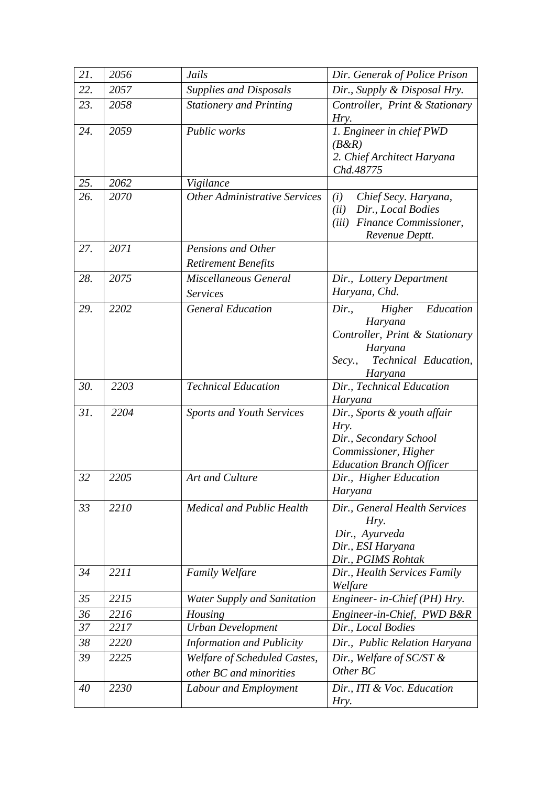| 21. | 2056 | Jails                                                   | Dir. Generak of Police Prison                                                                                                    |
|-----|------|---------------------------------------------------------|----------------------------------------------------------------------------------------------------------------------------------|
| 22. | 2057 | <b>Supplies and Disposals</b>                           | Dir., Supply & Disposal Hry.                                                                                                     |
| 23. | 2058 | <b>Stationery and Printing</b>                          | Controller, Print & Stationary<br>Hry.                                                                                           |
| 24. | 2059 | Public works                                            | 1. Engineer in chief PWD<br>$(B\&R)$<br>2. Chief Architect Haryana<br>Chd.48775                                                  |
| 25. | 2062 | Vigilance                                               |                                                                                                                                  |
| 26. | 2070 | <b>Other Administrative Services</b>                    | (i)<br>Chief Secy. Haryana,<br>Dir., Local Bodies<br>(ii)<br>Finance Commissioner,<br>(iii)<br>Revenue Deptt.                    |
| 27. | 2071 | Pensions and Other                                      |                                                                                                                                  |
|     |      | <b>Retirement Benefits</b>                              |                                                                                                                                  |
| 28. | 2075 | Miscellaneous General<br><b>Services</b>                | Dir., Lottery Department<br>Haryana, Chd.                                                                                        |
| 29. | 2202 | <b>General Education</b>                                | Education<br>Dir.,<br>Higher<br>Haryana<br>Controller, Print & Stationary<br>Haryana<br>Technical Education,<br>Secy.<br>Haryana |
| 30. | 2203 | <b>Technical Education</b>                              | Dir., Technical Education<br>Haryana                                                                                             |
| 31. | 2204 | <b>Sports and Youth Services</b>                        | Dir., Sports & youth affair<br>Hry.<br>Dir., Secondary School<br>Commissioner, Higher<br><b>Education Branch Officer</b>         |
| 32  | 2205 | Art and Culture                                         | Dir., Higher Education<br>Haryana                                                                                                |
| 33  | 2210 | <b>Medical and Public Health</b>                        | Dir., General Health Services<br>Hry.<br>Dir., Ayurveda<br>Dir., ESI Haryana<br>Dir., PGIMS Rohtak                               |
| 34  | 2211 | <b>Family Welfare</b>                                   | Dir., Health Services Family<br>Welfare                                                                                          |
| 35  | 2215 | <b>Water Supply and Sanitation</b>                      | Engineer- in-Chief (PH) Hry.                                                                                                     |
| 36  | 2216 | Housing                                                 | Engineer-in-Chief, PWD B&R                                                                                                       |
| 37  | 2217 | <b>Urban Development</b>                                | Dir., Local Bodies                                                                                                               |
| 38  | 2220 | <b>Information and Publicity</b>                        | Dir., Public Relation Haryana                                                                                                    |
| 39  | 2225 | Welfare of Scheduled Castes,<br>other BC and minorities | Dir., Welfare of $SC/ST$ &<br>Other BC                                                                                           |
| 40  | 2230 | Labour and Employment                                   | Dir., ITI & Voc. Education<br>Hry.                                                                                               |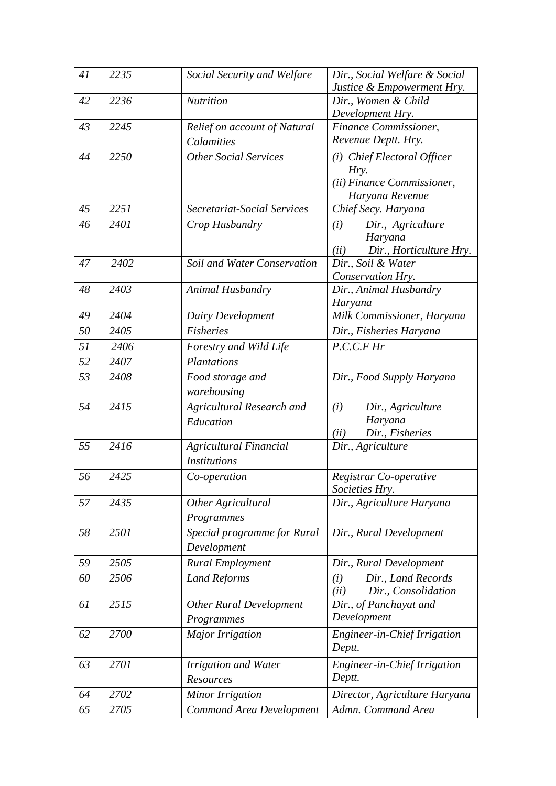| 41 | 2235 | Social Security and Welfare                   | Dir., Social Welfare & Social                                                        |
|----|------|-----------------------------------------------|--------------------------------------------------------------------------------------|
|    |      |                                               | Justice & Empowerment Hry.                                                           |
| 42 | 2236 | <b>Nutrition</b>                              | Dir., Women & Child                                                                  |
|    |      |                                               | Development Hry.                                                                     |
| 43 | 2245 | Relief on account of Natural                  | Finance Commissioner,                                                                |
|    |      | Calamities                                    | Revenue Deptt. Hry.                                                                  |
| 44 | 2250 | <b>Other Social Services</b>                  | (i) Chief Electoral Officer<br>Hry.<br>(ii) Finance Commissioner,<br>Haryana Revenue |
| 45 | 2251 | Secretariat-Social Services                   | Chief Secy. Haryana                                                                  |
| 46 | 2401 |                                               |                                                                                      |
|    |      | Crop Husbandry                                | Dir., Agriculture<br>(i)<br>Haryana<br>Dir., Horticulture Hry.<br>(ii)               |
| 47 | 2402 | Soil and Water Conservation                   | Dir., Soil & Water<br>Conservation Hry.                                              |
| 48 | 2403 | Animal Husbandry                              | Dir., Animal Husbandry                                                               |
|    |      |                                               | Haryana                                                                              |
| 49 | 2404 | Dairy Development                             | Milk Commissioner, Haryana                                                           |
| 50 | 2405 | <b>Fisheries</b>                              | Dir., Fisheries Haryana                                                              |
| 51 | 2406 | Forestry and Wild Life                        | P.C.C.F.Hr                                                                           |
| 52 | 2407 | Plantations                                   |                                                                                      |
| 53 | 2408 | Food storage and                              | Dir., Food Supply Haryana                                                            |
|    |      | warehousing                                   |                                                                                      |
| 54 | 2415 | <b>Agricultural Research and</b><br>Education | (i)<br>Dir., Agriculture<br>Haryana<br>Dir., Fisheries<br>(ii)                       |
| 55 | 2416 | <b>Agricultural Financial</b>                 | Dir., Agriculture                                                                    |
|    |      | <b>Institutions</b>                           |                                                                                      |
| 56 | 2425 | Co-operation                                  | Registrar Co-operative<br>Societies Hry.                                             |
| 57 | 2435 | Other Agricultural<br>Programmes              | Dir., Agriculture Haryana                                                            |
| 58 | 2501 | Special programme for Rural<br>Development    | Dir., Rural Development                                                              |
| 59 | 2505 | Rural Employment                              | Dir., Rural Development                                                              |
| 60 | 2506 | <b>Land Reforms</b>                           | Dir., Land Records<br>(i)<br>(ii)<br>Dir., Consolidation                             |
| 61 | 2515 | <b>Other Rural Development</b>                | Dir., of Panchayat and                                                               |
|    |      | Programmes                                    | Development                                                                          |
| 62 | 2700 | <b>Major Irrigation</b>                       | Engineer-in-Chief Irrigation<br>Deptt.                                               |
| 63 | 2701 | <b>Irrigation and Water</b>                   | Engineer-in-Chief Irrigation                                                         |
|    |      | Resources                                     | Deptt.                                                                               |
| 64 | 2702 | Minor Irrigation                              | Director, Agriculture Haryana                                                        |
| 65 | 2705 | Command Area Development                      | Admn. Command Area                                                                   |